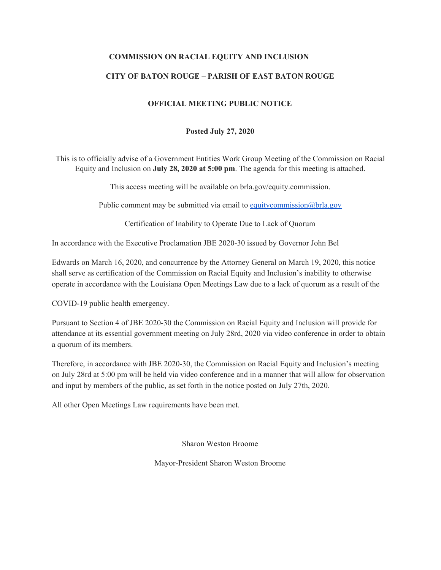## **COMMISSION ON RACIAL EQUITY AND INCLUSION**

## **CITY OF BATON ROUGE – PARISH OF EAST BATON ROUGE**

### **OFFICIAL MEETING PUBLIC NOTICE**

#### **Posted July 27, 2020**

This is to officially advise of a Government Entities Work Group Meeting of the Commission on Racial Equity and Inclusion on **July 28, 2020 at 5:00 pm**. The agenda for this meeting is attached.

This access meeting will be available on brla.gov/equity.commission.

Public comment may be submitted via email to [equitycommission@brla.gov](mailto:equitycommission@brla.gov)

Certification of Inability to Operate Due to Lack of Quorum

In accordance with the Executive Proclamation JBE 2020-30 issued by Governor John Bel

Edwards on March 16, 2020, and concurrence by the Attorney General on March 19, 2020, this notice shall serve as certification of the Commission on Racial Equity and Inclusion's inability to otherwise operate in accordance with the Louisiana Open Meetings Law due to a lack of quorum as a result of the

COVID-19 public health emergency.

Pursuant to Section 4 of JBE 2020-30 the Commission on Racial Equity and Inclusion will provide for attendance at its essential government meeting on July 28rd, 2020 via video conference in order to obtain a quorum of its members.

Therefore, in accordance with JBE 2020-30, the Commission on Racial Equity and Inclusion's meeting on July 28rd at 5:00 pm will be held via video conference and in a manner that will allow for observation and input by members of the public, as set forth in the notice posted on July 27th, 2020.

All other Open Meetings Law requirements have been met.

Sharon Weston Broome

Mayor-President Sharon Weston Broome